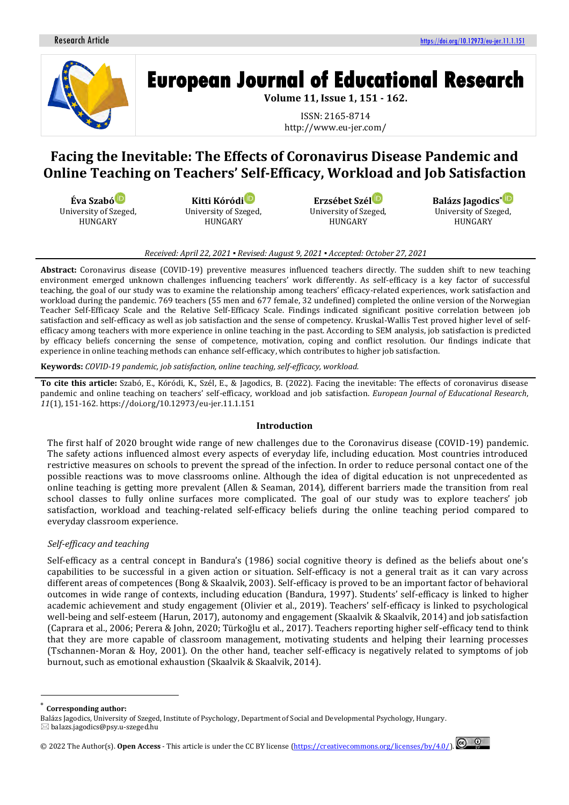

# **European Journal of Educational Research**

**Volume 11, Issue 1, 151 - 162.**

ISSN: 2165-8714 http://www.eu-jer.com/

# **Facing the Inevitable: The Effects of Coronavirus Disease Pandemic and Online Teaching on Teachers' Self-Efficacy, Workload and Job Satisfaction**

**Éva Szabó** University of Szeged, HUNGARY

**Kitti Kóród[i](https://orcid.org/0000-0002-7231-2877)** University of Szeged, HUNGARY

**Erzsébet Szél** University of Szeged, HUNGARY

**Balázs Jagodics[\\*](https://orcid.org/0000-0003-4100-5257)** University of Szeged, HUNGARY

## *Received: April 22, 2021 ▪ Revised: August 9, 2021 ▪ Accepted: October 27, 2021*

**Abstract:** Coronavirus disease (COVID-19) preventive measures influenced teachers directly. The sudden shift to new teaching environment emerged unknown challenges influencing teachers' work differently. As self-efficacy is a key factor of successful teaching, the goal of our study was to examine the relationship among teachers' efficacy-related experiences, work satisfaction and workload during the pandemic. 769 teachers (55 men and 677 female, 32 undefined) completed the online version of the Norwegian Teacher Self-Efficacy Scale and the Relative Self-Efficacy Scale. Findings indicated significant positive correlation between job satisfaction and self-efficacy as well as job satisfaction and the sense of competency. Kruskal-Wallis Test proved higher level of selfefficacy among teachers with more experience in online teaching in the past. According to SEM analysis, job satisfaction is predicted by efficacy beliefs concerning the sense of competence, motivation, coping and conflict resolution. Our findings indicate that experience in online teaching methods can enhance self-efficacy, which contributes to higher job satisfaction.

**Keywords:** *COVID-19 pandemic, job satisfaction, online teaching, self-efficacy, workload.*

**To cite this article:** Szabó, E., Kóródi, K., Szél, E., & Jagodics, B. (2022). Facing the inevitable: The effects of coronavirus disease pandemic and online teaching on teachers' self-efficacy, workload and job satisfaction. *European Journal of Educational Research*, *11*(1), 151-162. https://doi.org/10.12973/eu-jer.11.1.151

# **Introduction**

The first half of 2020 brought wide range of new challenges due to the Coronavirus disease (COVID-19) pandemic. The safety actions influenced almost every aspects of everyday life, including education. Most countries introduced restrictive measures on schools to prevent the spread of the infection. In order to reduce personal contact one of the possible reactions was to move classrooms online. Although the idea of digital education is not unprecedented as online teaching is getting more prevalent (Allen & Seaman, 2014), different barriers made the transition from real school classes to fully online surfaces more complicated. The goal of our study was to explore teachers' job satisfaction, workload and teaching-related self-efficacy beliefs during the online teaching period compared to everyday classroom experience.

# *Self-efficacy and teaching*

Self-efficacy as a central concept in Bandura's (1986) social cognitive theory is defined as the beliefs about one's capabilities to be successful in a given action or situation. Self-efficacy is not a general trait as it can vary across different areas of competences (Bong & Skaalvik, 2003). Self-efficacy is proved to be an important factor of behavioral outcomes in wide range of contexts, including education (Bandura, 1997). Students' self-efficacy is linked to higher academic achievement and study engagement (Olivier et al., 2019). Teachers' self-efficacy is linked to psychological well-being and self-esteem (Harun, 2017), autonomy and engagement (Skaalvik & Skaalvik, 2014) and job satisfaction (Caprara et al., 2006; Perera & John, 2020; Türkoğlu et al., 2017). Teachers reporting higher self-efficacy tend to think that they are more capable of classroom management, motivating students and helping their learning processes (Tschannen-Moran & Hoy, 2001). On the other hand, teacher self-efficacy is negatively related to symptoms of job burnout, such as emotional exhaustion (Skaalvik & Skaalvik, 2014).

**Corresponding author:** 

Balázs Jagodics, University of Szeged, Institute of Psychology, Department of Social and Developmental Psychology, Hungary.  $\boxtimes$  balazs.jagodics@psy.u-szeged.hu

<sup>© 20</sup>22 The Author(s).**Open Access** - This article is under the CC BY license [\(https://creativecommons.org/licenses/by/4.0/\)](https://creativecommons.org/licenses/by/4.0/).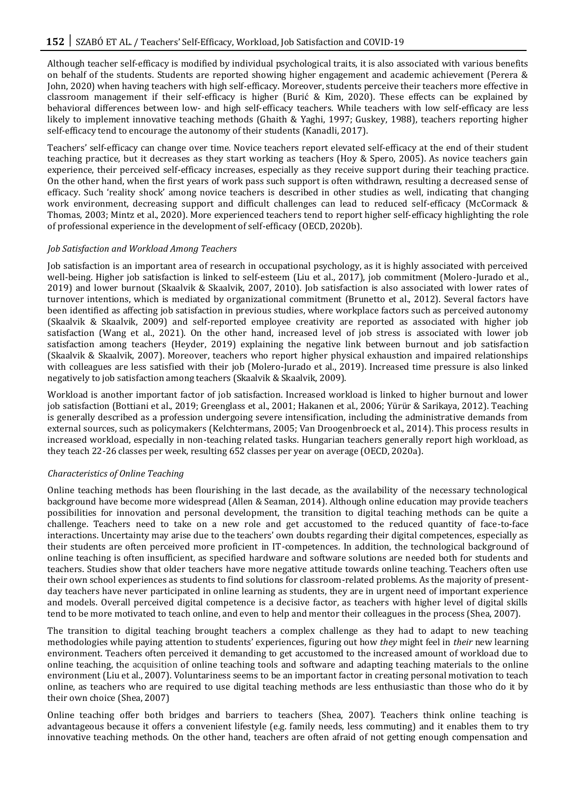Although teacher self-efficacy is modified by individual psychological traits, it is also associated with various benefits on behalf of the students. Students are reported showing higher engagement and academic achievement (Perera & John, 2020) when having teachers with high self-efficacy. Moreover, students perceive their teachers more effective in classroom management if their self-efficacy is higher (Burić & Kim, 2020). These effects can be explained by behavioral differences between low- and high self-efficacy teachers. While teachers with low self-efficacy are less likely to implement innovative teaching methods (Ghaith & Yaghi, 1997; Guskey, 1988), teachers reporting higher self-efficacy tend to encourage the autonomy of their students (Kanadli, 2017).

Teachers' self-efficacy can change over time. Novice teachers report elevated self-efficacy at the end of their student teaching practice, but it decreases as they start working as teachers (Hoy & Spero, 2005). As novice teachers gain experience, their perceived self-efficacy increases, especially as they receive support during their teaching practice. On the other hand, when the first years of work pass such support is often withdrawn, resulting a decreased sense of efficacy. Such 'reality shock' among novice teachers is described in other studies as well, indicating that changing work environment, decreasing support and difficult challenges can lead to reduced self-efficacy (McCormack & Thomas, 2003; Mintz et al., 2020). More experienced teachers tend to report higher self-efficacy highlighting the role of professional experience in the development of self-efficacy (OECD, 2020b).

#### *Job Satisfaction and Workload Among Teachers*

Job satisfaction is an important area of research in occupational psychology, as it is highly associated with perceived well-being. Higher job satisfaction is linked to self-esteem (Liu et al., 2017), job commitment (Molero-Jurado et al., 2019) and lower burnout (Skaalvik & Skaalvik, 2007, 2010). Job satisfaction is also associated with lower rates of turnover intentions, which is mediated by organizational commitment (Brunetto et al., 2012). Several factors have been identified as affecting job satisfaction in previous studies, where workplace factors such as perceived autonomy (Skaalvik & Skaalvik, 2009) and self-reported employee creativity are reported as associated with higher job satisfaction (Wang et al., 2021). On the other hand, increased level of job stress is associated with lower job satisfaction among teachers (Heyder, 2019) explaining the negative link between burnout and job satisfaction (Skaalvik & Skaalvik, 2007). Moreover, teachers who report higher physical exhaustion and impaired relationships with colleagues are less satisfied with their job (Molero-Jurado et al., 2019). Increased time pressure is also linked negatively to job satisfaction among teachers (Skaalvik & Skaalvik, 2009).

Workload is another important factor of job satisfaction. Increased workload is linked to higher burnout and lower job satisfaction (Bottiani et al., 2019; Greenglass et al., 2001; Hakanen et al., 2006; Yürür & Sarikaya, 2012). Teaching is generally described as a profession undergoing severe intensification, including the administrative demands from external sources, such as policymakers (Kelchtermans, 2005; Van Droogenbroeck et al., 2014). This process results in increased workload, especially in non-teaching related tasks. Hungarian teachers generally report high workload, as they teach 22-26 classes per week, resulting 652 classes per year on average (OECD, 2020a).

#### *Characteristics of Online Teaching*

Online teaching methods has been flourishing in the last decade, as the availability of the necessary technological background have become more widespread (Allen & Seaman, 2014). Although online education may provide teachers possibilities for innovation and personal development, the transition to digital teaching methods can be quite a challenge. Teachers need to take on a new role and get accustomed to the reduced quantity of face-to-face interactions. Uncertainty may arise due to the teachers' own doubts regarding their digital competences, especially as their students are often perceived more proficient in IT-competences. In addition, the technological background of online teaching is often insufficient, as specified hardware and software solutions are needed both for students and teachers. Studies show that older teachers have more negative attitude towards online teaching. Teachers often use their own school experiences as students to find solutions for classroom-related problems. As the majority of presentday teachers have never participated in online learning as students, they are in urgent need of important experience and models. Overall perceived digital competence is a decisive factor, as teachers with higher level of digital skills tend to be more motivated to teach online, and even to help and mentor their colleagues in the process (Shea, 2007).

The transition to digital teaching brought teachers a complex challenge as they had to adapt to new teaching methodologies while paying attention to students' experiences, figuring out how *they* might feel in *their* new learning environment. Teachers often perceived it demanding to get accustomed to the increased amount of workload due to online teaching, the acquisition of online teaching tools and software and adapting teaching materials to the online environment (Liu et al., 2007). Voluntariness seems to be an important factor in creating personal motivation to teach online, as teachers who are required to use digital teaching methods are less enthusiastic than those who do it by their own choice (Shea, 2007)

Online teaching offer both bridges and barriers to teachers (Shea, 2007). Teachers think online teaching is advantageous because it offers a convenient lifestyle (e.g. family needs, less commuting) and it enables them to try innovative teaching methods. On the other hand, teachers are often afraid of not getting enough compensation and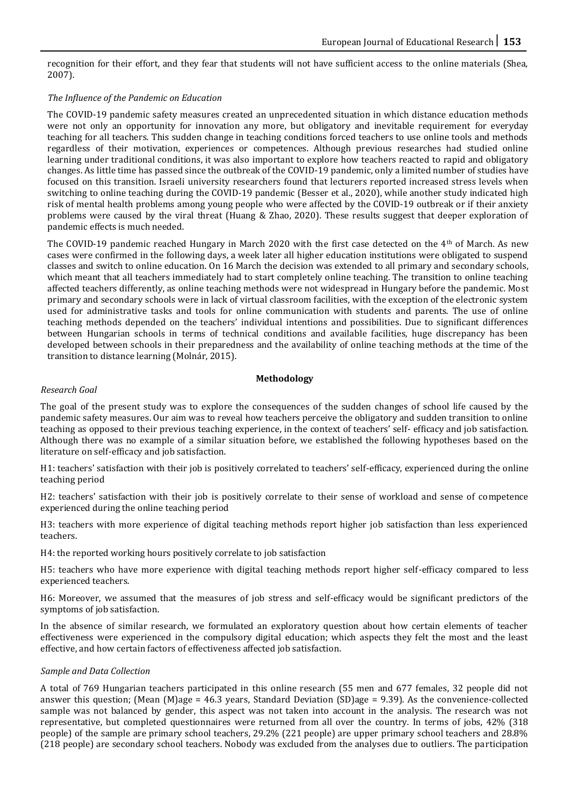recognition for their effort, and they fear that students will not have sufficient access to the online materials (Shea, 2007).

# *The Influence of the Pandemic on Education*

The COVID-19 pandemic safety measures created an unprecedented situation in which distance education methods were not only an opportunity for innovation any more, but obligatory and inevitable requirement for everyday teaching for all teachers. This sudden change in teaching conditions forced teachers to use online tools and methods regardless of their motivation, experiences or competences. Although previous researches had studied online learning under traditional conditions, it was also important to explore how teachers reacted to rapid and obligatory changes. As little time has passed since the outbreak of the COVID-19 pandemic, only a limited number of studies have focused on this transition. Israeli university researchers found that lecturers reported increased stress levels when switching to online teaching during the COVID-19 pandemic (Besser et al., 2020), while another study indicated high risk of mental health problems among young people who were affected by the COVID-19 outbreak or if their anxiety problems were caused by the viral threat (Huang & Zhao, 2020). These results suggest that deeper exploration of pandemic effects is much needed.

The COVID-19 pandemic reached Hungary in March 2020 with the first case detected on the  $4<sup>th</sup>$  of March. As new cases were confirmed in the following days, a week later all higher education institutions were obligated to suspend classes and switch to online education. On 16 March the decision was extended to all primary and secondary schools, which meant that all teachers immediately had to start completely online teaching. The transition to online teaching affected teachers differently, as online teaching methods were not widespread in Hungary before the pandemic. Most primary and secondary schools were in lack of virtual classroom facilities, with the exception of the electronic system used for administrative tasks and tools for online communication with students and parents. The use of online teaching methods depended on the teachers' individual intentions and possibilities. Due to significant differences between Hungarian schools in terms of technical conditions and available facilities, huge discrepancy has been developed between schools in their preparedness and the availability of online teaching methods at the time of the transition to distance learning (Molnár, 2015).

# **Methodology**

#### *Research Goal*

The goal of the present study was to explore the consequences of the sudden changes of school life caused by the pandemic safety measures. Our aim was to reveal how teachers perceive the obligatory and sudden transition to online teaching as opposed to their previous teaching experience, in the context of teachers' self- efficacy and job satisfaction. Although there was no example of a similar situation before, we established the following hypotheses based on the literature on self-efficacy and job satisfaction.

H1: teachers' satisfaction with their job is positively correlated to teachers' self-efficacy, experienced during the online teaching period

H2: teachers' satisfaction with their job is positively correlate to their sense of workload and sense of competence experienced during the online teaching period

H3: teachers with more experience of digital teaching methods report higher job satisfaction than less experienced teachers.

H4: the reported working hours positively correlate to job satisfaction

H5: teachers who have more experience with digital teaching methods report higher self-efficacy compared to less experienced teachers.

H6: Moreover, we assumed that the measures of job stress and self-efficacy would be significant predictors of the symptoms of job satisfaction.

In the absence of similar research, we formulated an exploratory question about how certain elements of teacher effectiveness were experienced in the compulsory digital education; which aspects they felt the most and the least effective, and how certain factors of effectiveness affected job satisfaction.

#### *Sample and Data Collection*

A total of 769 Hungarian teachers participated in this online research (55 men and 677 females, 32 people did not answer this question; (Mean (M)age =  $46.3$  years, Standard Deviation (SD)age = 9.39). As the convenience-collected sample was not balanced by gender, this aspect was not taken into account in the analysis. The research was not representative, but completed questionnaires were returned from all over the country. In terms of jobs, 42% (318 people) of the sample are primary school teachers, 29.2% (221 people) are upper primary school teachers and 28.8% (218 people) are secondary school teachers. Nobody was excluded from the analyses due to outliers. The participation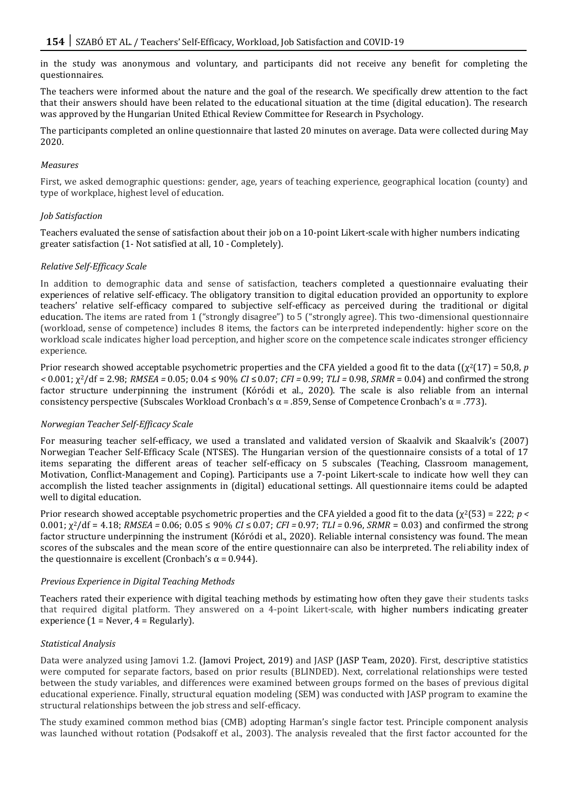in the study was anonymous and voluntary, and participants did not receive any benefit for completing the questionnaires.

The teachers were informed about the nature and the goal of the research. We specifically drew attention to the fact that their answers should have been related to the educational situation at the time (digital education). The research was approved by the Hungarian United Ethical Review Committee for Research in Psychology.

The participants completed an online questionnaire that lasted 20 minutes on average. Data were collected during May 2020.

#### *Measures*

First, we asked demographic questions: gender, age, years of teaching experience, geographical location (county) and type of workplace, highest level of education.

## *Job Satisfaction*

Teachers evaluated the sense of satisfaction about their job on a 10-point Likert-scale with higher numbers indicating greater satisfaction (1- Not satisfied at all, 10 - Completely).

#### *Relative Self-Efficacy Scale*

In addition to demographic data and sense of satisfaction, teachers completed a questionnaire evaluating their experiences of relative self-efficacy. The obligatory transition to digital education provided an opportunity to explore teachers' relative self-efficacy compared to subjective self-efficacy as perceived during the traditional or digital education. The items are rated from 1 ("strongly disagree") to 5 ("strongly agree). This two-dimensional questionnaire (workload, sense of competence) includes 8 items, the factors can be interpreted independently: higher score on the workload scale indicates higher load perception, and higher score on the competence scale indicates stronger efficiency experience.

Prior research showed acceptable psychometric properties and the CFA yielded a good fit to the data  $({\gamma}^2(17) = 50.8, p$ *<* 0.001; χ2/df = 2.98; *RMSEA =* 0.05; 0.04 ≤ 90% *CI* ≤0.07; *CFI =* 0.99; *TLI =* 0.98, *SRMR* = 0.04) and confirmed the strong factor structure underpinning the instrument (Kóródi et al., 2020). The scale is also reliable from an internal consistency perspective (Subscales Workload Cronbach's α = .859, Sense of Competence Cronbach's α = .773).

#### *Norwegian Teacher Self-Efficacy Scale*

For measuring teacher self-efficacy, we used a translated and validated version of Skaalvik and Skaalvik's (2007) Norwegian Teacher Self-Efficacy Scale (NTSES). The Hungarian version of the questionnaire consists of a total of 17 items separating the different areas of teacher self-efficacy on 5 subscales (Teaching, Classroom management, Motivation, Conflict-Management and Coping). Participants use a 7-point Likert-scale to indicate how well they can accomplish the listed teacher assignments in (digital) educational settings. All questionnaire items could be adapted well to digital education.

Prior research showed acceptable psychometric properties and the CFA yielded a good fit to the data (χ2(53) = 222; *p <*  0.001; χ2/df = 4.18; *RMSEA =* 0.06; 0.05 ≤ 90% *CI* ≤ 0.07; *CFI =* 0.97; *TLI =* 0.96, *SRMR* = 0.03) and confirmed the strong factor structure underpinning the instrument (Kóródi et al., 2020). Reliable internal consistency was found. The mean scores of the subscales and the mean score of the entire questionnaire can also be interpreted. The reliability index of the questionnaire is excellent (Cronbach's α = 0.944).

#### *Previous Experience in Digital Teaching Methods*

Teachers rated their experience with digital teaching methods by estimating how often they gave their students tasks that required digital platform. They answered on a 4-point Likert-scale, with higher numbers indicating greater experience  $(1 =$  Never,  $4 =$  Regularly).

#### *Statistical Analysis*

Data were analyzed using Jamovi 1.2. (Jamovi Project, 2019) and JASP (JASP Team, 2020). First, descriptive statistics were computed for separate factors, based on prior results (BLINDED). Next, correlational relationships were tested between the study variables, and differences were examined between groups formed on the bases of previous digital educational experience. Finally, structural equation modeling (SEM) was conducted with JASP program to examine the structural relationships between the job stress and self-efficacy.

The study examined common method bias (CMB) adopting Harman's single factor test. Principle component analysis was launched without rotation (Podsakoff et al., 2003). The analysis revealed that the first factor accounted for the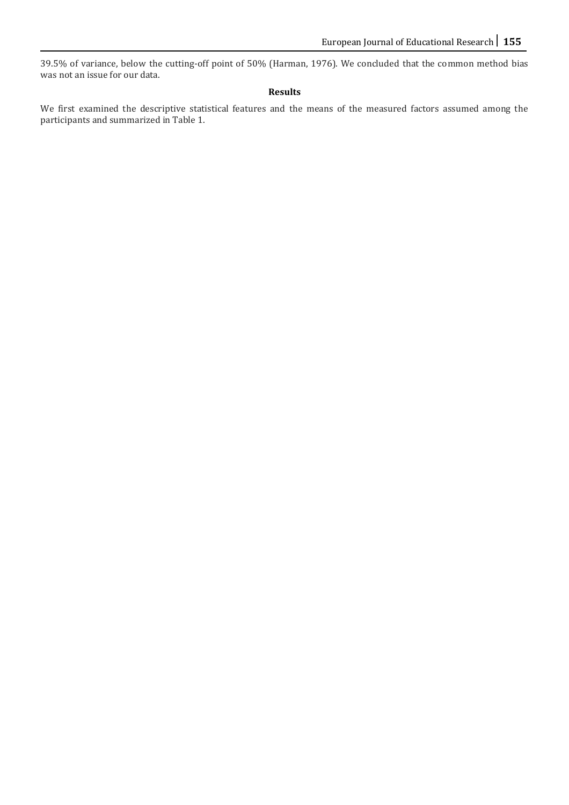39.5% of variance, below the cutting-off point of 50% (Harman, 1976). We concluded that the common method bias was not an issue for our data.

# **Results**

We first examined the descriptive statistical features and the means of the measured factors assumed among the participants and summarized in Table 1.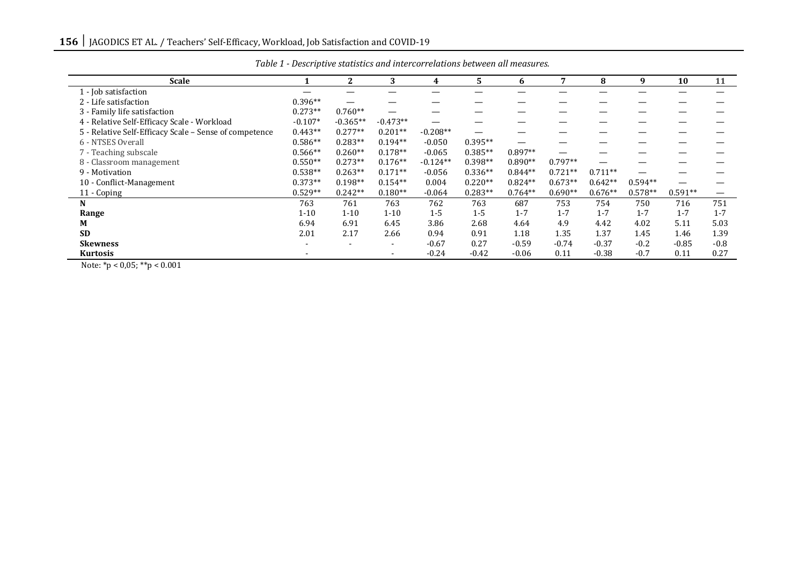| <b>Scale</b>                                           |           | $\overline{2}$ | 3              | 4          | 5.        | 6         | 7         | 8         | 9         | 10        | 11      |
|--------------------------------------------------------|-----------|----------------|----------------|------------|-----------|-----------|-----------|-----------|-----------|-----------|---------|
| 1 - Job satisfaction                                   |           |                |                |            |           |           |           |           |           |           |         |
| 2 - Life satisfaction                                  | $0.396**$ |                |                |            |           |           |           |           |           |           |         |
| 3 - Family life satisfaction                           | $0.273**$ | $0.760**$      |                |            |           |           |           |           |           |           |         |
| 4 - Relative Self-Efficacy Scale - Workload            | $-0.107*$ | $-0.365**$     | $-0.473**$     |            |           |           |           |           |           |           |         |
| 5 - Relative Self-Efficacy Scale - Sense of competence | $0.443**$ | $0.277**$      | $0.201**$      | $-0.208**$ |           |           |           |           |           |           |         |
| 6 - NTSES Overall                                      | $0.586**$ | $0.283**$      | $0.194**$      | $-0.050$   | $0.395**$ |           |           |           |           |           |         |
| 7 - Teaching subscale                                  | $0.566**$ | $0.260**$      | $0.178**$      | $-0.065$   | $0.385**$ | $0.897**$ |           |           |           |           |         |
| 8 - Classroom management                               | $0.550**$ | $0.273**$      | $0.176**$      | $-0.124**$ | $0.398**$ | $0.890**$ | $0.797**$ |           |           |           |         |
| 9 - Motivation                                         | $0.538**$ | $0.263**$      | $0.171**$      | $-0.056$   | $0.336**$ | $0.844**$ | $0.721**$ | $0.711**$ |           |           |         |
| 10 - Conflict-Management                               | $0.373**$ | $0.198**$      | $0.154**$      | 0.004      | $0.220**$ | $0.824**$ | $0.673**$ | $0.642**$ | $0.594**$ |           |         |
| 11 - Coping                                            | $0.529**$ | $0.242**$      | $0.180**$      | $-0.064$   | $0.283**$ | $0.764**$ | $0.690**$ | $0.676**$ | $0.578**$ | $0.591**$ |         |
| N                                                      | 763       | 761            | 763            | 762        | 763       | 687       | 753       | 754       | 750       | 716       | 751     |
| Range                                                  | $1 - 10$  | $1 - 10$       | $1 - 10$       | $1 - 5$    | $1 - 5$   | $1 - 7$   | $1 - 7$   | $1 - 7$   | $1 - 7$   | $1 - 7$   | $1 - 7$ |
| М                                                      | 6.94      | 6.91           | 6.45           | 3.86       | 2.68      | 4.64      | 4.9       | 4.42      | 4.02      | 5.11      | 5.03    |
| <b>SD</b>                                              | 2.01      | 2.17           | 2.66           | 0.94       | 0.91      | 1.18      | 1.35      | 1.37      | 1.45      | 1.46      | 1.39    |
| <b>Skewness</b>                                        |           |                | $\overline{a}$ | $-0.67$    | 0.27      | $-0.59$   | $-0.74$   | $-0.37$   | $-0.2$    | $-0.85$   | $-0.8$  |
| Kurtosis                                               |           |                | $\sim$         | $-0.24$    | $-0.42$   | $-0.06$   | 0.11      | $-0.38$   | $-0.7$    | 0.11      | 0.27    |

*Table 1 - Descriptive statistics and intercorrelations between all measures.*

Note: \*p < 0,05; \*\*p < 0.001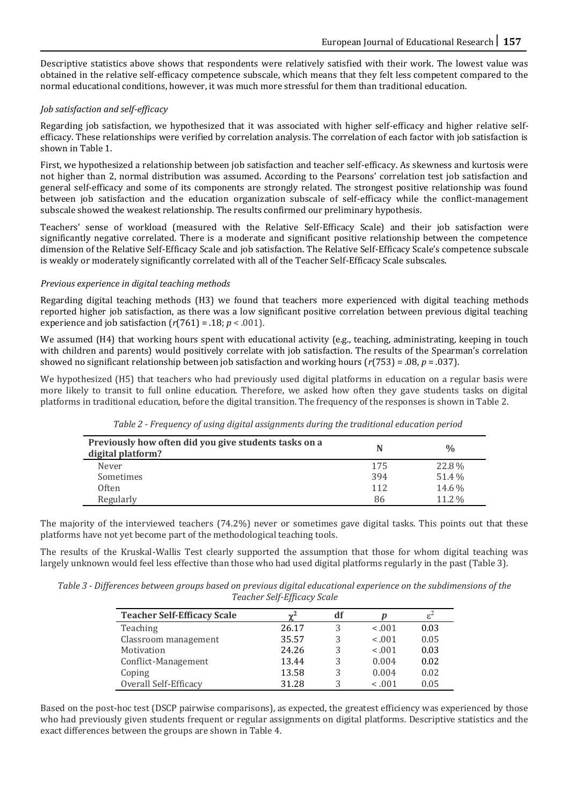Descriptive statistics above shows that respondents were relatively satisfied with their work. The lowest value was obtained in the relative self-efficacy competence subscale, which means that they felt less competent compared to the normal educational conditions, however, it was much more stressful for them than traditional education.

# *Job satisfaction and self-efficacy*

Regarding job satisfaction, we hypothesized that it was associated with higher self-efficacy and higher relative selfefficacy. These relationships were verified by correlation analysis. The correlation of each factor with job satisfaction is shown in Table 1.

First, we hypothesized a relationship between job satisfaction and teacher self-efficacy. As skewness and kurtosis were not higher than 2, normal distribution was assumed. According to the Pearsons' correlation test job satisfaction and general self-efficacy and some of its components are strongly related. The strongest positive relationship was found between job satisfaction and the education organization subscale of self-efficacy while the conflict-management subscale showed the weakest relationship. The results confirmed our preliminary hypothesis.

Teachers' sense of workload (measured with the Relative Self-Efficacy Scale) and their job satisfaction were significantly negative correlated. There is a moderate and significant positive relationship between the competence dimension of the Relative Self-Efficacy Scale and job satisfaction. The Relative Self-Efficacy Scale's competence subscale is weakly or moderately significantly correlated with all of the Teacher Self-Efficacy Scale subscales.

# *Previous experience in digital teaching methods*

Regarding digital teaching methods (H3) we found that teachers more experienced with digital teaching methods reported higher job satisfaction, as there was a low significant positive correlation between previous digital teaching experience and job satisfaction  $(r(761) = .18; p < .001)$ .

We assumed (H4) that working hours spent with educational activity (e.g., teaching, administrating, keeping in touch with children and parents) would positively correlate with job satisfaction. The results of the Spearman's correlation showed no significant relationship between job satisfaction and working hours (*r*(753) = .08, *p* = .037).

We hypothesized (H5) that teachers who had previously used digital platforms in education on a regular basis were more likely to transit to full online education. Therefore, we asked how often they gave students tasks on digital platforms in traditional education, before the digital transition. The frequency of the responses is shown in Table 2.

| Previously how often did you give students tasks on a<br>digital platform? |     | $\frac{0}{0}$ |
|----------------------------------------------------------------------------|-----|---------------|
| Never                                                                      | 175 | 22.8%         |
| Sometimes                                                                  | 394 | 51.4%         |
| Often                                                                      | 112 | 14.6 %        |
| Regularly                                                                  | 86  | 11.2 %        |

*Table 2 - Frequency of using digital assignments during the traditional education period*

The majority of the interviewed teachers (74.2%) never or sometimes gave digital tasks. This points out that these platforms have not yet become part of the methodological teaching tools.

The results of the Kruskal-Wallis Test clearly supported the assumption that those for whom digital teaching was largely unknown would feel less effective than those who had used digital platforms regularly in the past (Table 3).

*Table 3 - Differences between groups based on previous digital educational experience on the subdimensions of the Teacher Self-Efficacy Scale*

| <b>Teacher Self-Efficacy Scale</b> | $\sim$ <sup>2</sup> | df |         | $\varepsilon^2$ |
|------------------------------------|---------------------|----|---------|-----------------|
| Teaching                           | 26.17               |    | $-.001$ | 0.03            |
| Classroom management               | 35.57               | ς  | $-.001$ | 0.05            |
| Motivation                         | 24.26               | 3  | $-.001$ | 0.03            |
| Conflict-Management                | 13.44               | 3  | 0.004   | 0.02            |
| Coping                             | 13.58               | 3  | 0.004   | 0.02            |
| Overall Self-Efficacy              | 31.28               |    | $-.001$ | 0.05            |

Based on the post-hoc test (DSCP pairwise comparisons), as expected, the greatest efficiency was experienced by those who had previously given students frequent or regular assignments on digital platforms. Descriptive statistics and the exact differences between the groups are shown in Table 4.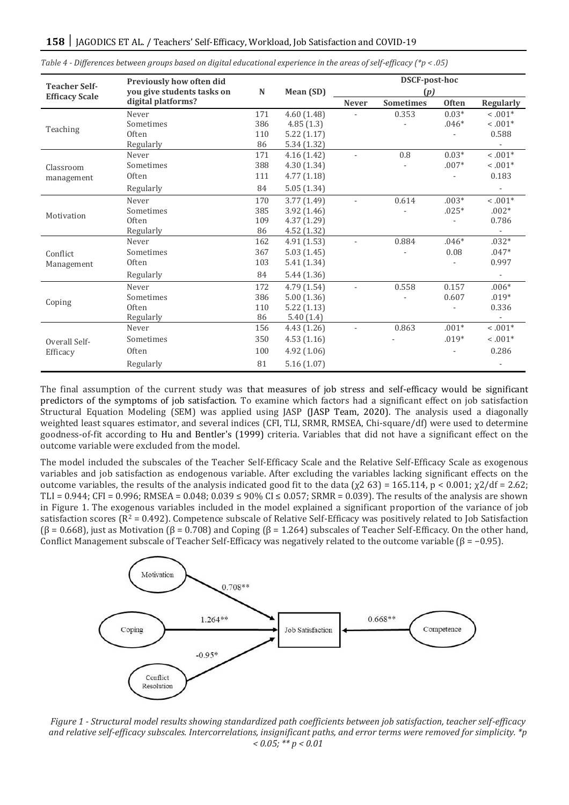|                                               | Previously how often did   |     |             | DSCF-post-hoc            |                  |              |                          |  |  |
|-----------------------------------------------|----------------------------|-----|-------------|--------------------------|------------------|--------------|--------------------------|--|--|
| <b>Teacher Self-</b><br><b>Efficacy Scale</b> | you give students tasks on | N   | Mean (SD)   | (p)                      |                  |              |                          |  |  |
|                                               | digital platforms?         |     |             | <b>Never</b>             | <b>Sometimes</b> | <b>Often</b> | <b>Regularly</b>         |  |  |
| Teaching                                      | Never                      | 171 | 4.60(1.48)  | $\overline{\phantom{a}}$ | 0.353            | $0.03*$      | $0.001*$                 |  |  |
|                                               | Sometimes                  | 386 | 4.85(1.3)   |                          |                  | $.046*$      | $-.001*$                 |  |  |
|                                               | Often                      | 110 | 5.22(1.17)  |                          |                  |              | 0.588                    |  |  |
|                                               | Regularly                  | 86  | 5.34 (1.32) |                          |                  |              |                          |  |  |
| Classroom<br>management                       | Never                      | 171 | 4.16(1.42)  | $\sim$                   | $0.8\,$          | $0.03*$      | $0.001*$                 |  |  |
|                                               | Sometimes                  | 388 | 4.30(1.34)  |                          |                  | $.007*$      | $< 0.01*$                |  |  |
|                                               | Often                      | 111 | 4.77(1.18)  |                          |                  |              | 0.183                    |  |  |
|                                               | Regularly                  | 84  | 5.05(1.34)  |                          |                  |              |                          |  |  |
| Motivation                                    | Never                      | 170 | 3.77 (1.49) | ÷.                       | 0.614            | $.003*$      | $1001*$                  |  |  |
|                                               | Sometimes                  | 385 | 3.92 (1.46) |                          |                  | $.025*$      | $.002*$                  |  |  |
|                                               | Often                      | 109 | 4.37 (1.29) |                          |                  |              | 0.786                    |  |  |
|                                               | Regularly                  | 86  | 4.52 (1.32) |                          |                  |              |                          |  |  |
| Conflict<br>Management                        | Never                      | 162 | 4.91(1.53)  | $\overline{\phantom{a}}$ | 0.884            | $.046*$      | $.032*$                  |  |  |
|                                               | Sometimes                  | 367 | 5.03(1.45)  |                          |                  | 0.08         | $.047*$                  |  |  |
|                                               | <b>Often</b>               | 103 | 5.41 (1.34) |                          |                  |              | 0.997                    |  |  |
|                                               | Regularly                  | 84  | 5.44(1.36)  |                          |                  |              | $\overline{\phantom{a}}$ |  |  |
| Coping                                        | Never                      | 172 | 4.79 (1.54) | $\overline{\phantom{a}}$ | 0.558            | 0.157        | $.006*$                  |  |  |
|                                               | Sometimes                  | 386 | 5.00(1.36)  |                          |                  | 0.607        | $.019*$                  |  |  |
|                                               | Often                      | 110 | 5.22(1.13)  |                          |                  |              | 0.336                    |  |  |
|                                               | Regularly                  | 86  | 5.40(1.4)   |                          |                  |              |                          |  |  |
| Overall Self-<br>Efficacy                     | Never                      | 156 | 4.43 (1.26) | $\overline{\phantom{a}}$ | 0.863            | $.001*$      | $<.001^*$                |  |  |
|                                               | Sometimes                  | 350 | 4.53(1.16)  |                          |                  | $.019*$      | $0.001*$                 |  |  |
|                                               | Often                      | 100 | 4.92 (1.06) |                          |                  |              | 0.286                    |  |  |
|                                               | Regularly                  | 81  | 5.16(1.07)  |                          |                  |              |                          |  |  |

*Table 4 - Differences between groups based on digital educational experience in the areas of self-efficacy (\*p < .05)*

The final assumption of the current study was that measures of job stress and self-efficacy would be significant predictors of the symptoms of job satisfaction. To examine which factors had a significant effect on job satisfaction Structural Equation Modeling (SEM) was applied using JASP (JASP Team, 2020). The analysis used a diagonally weighted least squares estimator, and several indices (CFI, TLI, SRMR, RMSEA, Chi-square/df) were used to determine goodness-of-fit according to Hu and Bentler's (1999) criteria. Variables that did not have a significant effect on the outcome variable were excluded from the model.

The model included the subscales of the Teacher Self-Efficacy Scale and the Relative Self-Efficacy Scale as exogenous variables and job satisfaction as endogenous variable. After excluding the variables lacking significant effects on the outcome variables, the results of the analysis indicated good fit to the data ( $χ2 63$ ) = 165.114, p < 0.001;  $χ2/df = 2.62$ ; TLI = 0.944; CFI = 0.996; RMSEA = 0.048; 0.039  $\leq$  90% CI  $\leq$  0.057; SRMR = 0.039). The results of the analysis are shown in Figure 1. The exogenous variables included in the model explained a significant proportion of the variance of job satisfaction scores ( $R^2 = 0.492$ ). Competence subscale of Relative Self-Efficacy was positively related to Job Satisfaction  $(\beta = 0.668)$ , just as Motivation  $(\beta = 0.708)$  and Coping  $(\beta = 1.264)$  subscales of Teacher Self-Efficacy. On the other hand, Conflict Management subscale of Teacher Self-Efficacy was negatively related to the outcome variable ( $\beta$  = −0.95).



*Figure 1 - Structural model results showing standardized path coefficients between job satisfaction, teacher self-efficacy and relative self-efficacy subscales. Intercorrelations, insignificant paths, and error terms were removed for simplicity. \*p < 0.05; \*\* p < 0.01*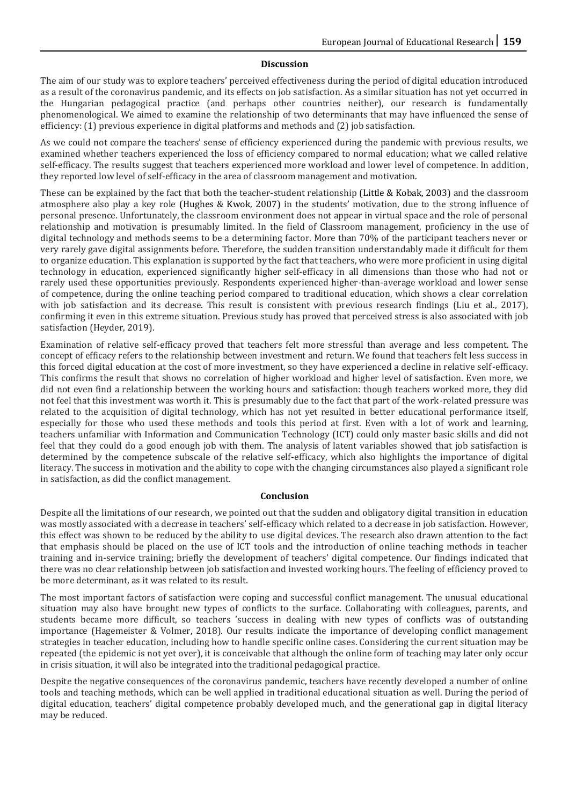#### **Discussion**

The aim of our study was to explore teachers' perceived effectiveness during the period of digital education introduced as a result of the coronavirus pandemic, and its effects on job satisfaction. As a similar situation has not yet occurred in the Hungarian pedagogical practice (and perhaps other countries neither), our research is fundamentally phenomenological. We aimed to examine the relationship of two determinants that may have influenced the sense of efficiency: (1) previous experience in digital platforms and methods and (2) job satisfaction.

As we could not compare the teachers' sense of efficiency experienced during the pandemic with previous results, we examined whether teachers experienced the loss of efficiency compared to normal education; what we called relative self-efficacy. The results suggest that teachers experienced more workload and lower level of competence. In addition, they reported low level of self-efficacy in the area of classroom management and motivation.

These can be explained by the fact that both the teacher-student relationship (Little & Kobak, 2003) and the classroom atmosphere also play a key role (Hughes & Kwok, 2007) in the students' motivation, due to the strong influence of personal presence. Unfortunately, the classroom environment does not appear in virtual space and the role of personal relationship and motivation is presumably limited. In the field of Classroom management, proficiency in the use of digital technology and methods seems to be a determining factor. More than 70% of the participant teachers never or very rarely gave digital assignments before. Therefore, the sudden transition understandably made it difficult for them to organize education. This explanation is supported by the fact that teachers, who were more proficient in using digital technology in education, experienced significantly higher self-efficacy in all dimensions than those who had not or rarely used these opportunities previously. Respondents experienced higher-than-average workload and lower sense of competence, during the online teaching period compared to traditional education, which shows a clear correlation with job satisfaction and its decrease. This result is consistent with previous research findings (Liu et al., 2017), confirming it even in this extreme situation. Previous study has proved that perceived stress is also associated with job satisfaction (Heyder, 2019).

Examination of relative self-efficacy proved that teachers felt more stressful than average and less competent. The concept of efficacy refers to the relationship between investment and return. We found that teachers felt less success in this forced digital education at the cost of more investment, so they have experienced a decline in relative self-efficacy. This confirms the result that shows no correlation of higher workload and higher level of satisfaction. Even more, we did not even find a relationship between the working hours and satisfaction: though teachers worked more, they did not feel that this investment was worth it. This is presumably due to the fact that part of the work-related pressure was related to the acquisition of digital technology, which has not yet resulted in better educational performance itself, especially for those who used these methods and tools this period at first. Even with a lot of work and learning, teachers unfamiliar with Information and Communication Technology (ICT) could only master basic skills and did not feel that they could do a good enough job with them. The analysis of latent variables showed that job satisfaction is determined by the competence subscale of the relative self-efficacy, which also highlights the importance of digital literacy. The success in motivation and the ability to cope with the changing circumstances also played a significant role in satisfaction, as did the conflict management.

#### **Conclusion**

Despite all the limitations of our research, we pointed out that the sudden and obligatory digital transition in education was mostly associated with a decrease in teachers' self-efficacy which related to a decrease in job satisfaction. However, this effect was shown to be reduced by the ability to use digital devices. The research also drawn attention to the fact that emphasis should be placed on the use of ICT tools and the introduction of online teaching methods in teacher training and in-service training; briefly the development of teachers' digital competence. Our findings indicated that there was no clear relationship between job satisfaction and invested working hours. The feeling of efficiency proved to be more determinant, as it was related to its result.

The most important factors of satisfaction were coping and successful conflict management. The unusual educational situation may also have brought new types of conflicts to the surface. Collaborating with colleagues, parents, and students became more difficult, so teachers 'success in dealing with new types of conflicts was of outstanding importance (Hagemeister & Volmer, 2018). Our results indicate the importance of developing conflict management strategies in teacher education, including how to handle specific online cases. Considering the current situation may be repeated (the epidemic is not yet over), it is conceivable that although the online form of teaching may later only occur in crisis situation, it will also be integrated into the traditional pedagogical practice.

Despite the negative consequences of the coronavirus pandemic, teachers have recently developed a number of online tools and teaching methods, which can be well applied in traditional educational situation as well. During the period of digital education, teachers' digital competence probably developed much, and the generational gap in digital literacy may be reduced.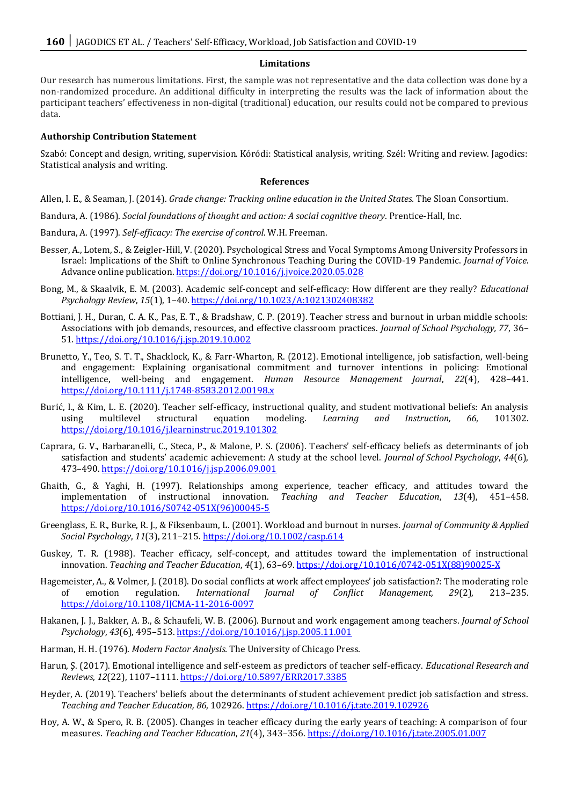#### **Limitations**

Our research has numerous limitations. First, the sample was not representative and the data collection was done by a non-randomized procedure. An additional difficulty in interpreting the results was the lack of information about the participant teachers' effectiveness in non-digital (traditional) education, our results could not be compared to previous data.

#### **Authorship Contribution Statement**

Szabó: Concept and design, writing, supervision. Kóródi: Statistical analysis, writing. Szél: Writing and review. Jagodics: Statistical analysis and writing.

#### **References**

Allen, I. E., & Seaman, J. (2014). *Grade change: Tracking online education in the United States.* The Sloan Consortium.

Bandura, A. (1986). *Social foundations of thought and action: A social cognitive theory*. Prentice-Hall, Inc.

- Bandura, A. (1997). *Self-efficacy: The exercise of control*. W.H. Freeman.
- Besser, A., Lotem, S., & Zeigler-Hill, V. (2020). Psychological Stress and Vocal Symptoms Among University Professors in Israel: Implications of the Shift to Online Synchronous Teaching During the COVID-19 Pandemic. *Journal of Voice*. Advance online publication[. https://doi.org/10.1016/j.jvoice.2020.05.028](https://doi.org/10.1016/j.jvoice.2020.05.028)
- Bong, M., & Skaalvik, E. M. (2003). Academic self-concept and self-efficacy: How different are they really? *Educational Psychology Review*, *15*(1), 1–40[. https://doi.org/10.1023/A:1021302408382](https://doi.org/10.1023/A:1021302408382)
- Bottiani, J. H., Duran, C. A. K., Pas, E. T., & Bradshaw, C. P. (2019). Teacher stress and burnout in urban middle schools: Associations with job demands, resources, and effective classroom practices. *Journal of School Psychology, 77*, 36– 51[. https://doi.org/10.1016/j.jsp.2019.10.002](https://doi.org/10.1016/j.jsp.2019.10.002)
- Brunetto, Y., Teo, S. T. T., Shacklock, K., & Farr-Wharton, R. (2012). Emotional intelligence, job satisfaction, well-being and engagement: Explaining organisational commitment and turnover intentions in policing: Emotional intelligence, well-being and engagement. *Human Resource Management Journal*, *22*(4), 428–441. <https://doi.org/10.1111/j.1748-8583.2012.00198.x>
- Burić, I., & Kim, L. E. (2020). Teacher self-efficacy, instructional quality, and student motivational beliefs: An analysis using multilevel structural equation modeling. *Learning and Instruction, 66*, 101302. <https://doi.org/10.1016/j.learninstruc.2019.101302>
- Caprara, G. V., Barbaranelli, C., Steca, P., & Malone, P. S. (2006). Teachers' self-efficacy beliefs as determinants of job satisfaction and students' academic achievement: A study at the school level. *Journal of School Psychology*, *44*(6), 473–490[. https://doi.org/10.1016/j.jsp.2006.09.001](https://doi.org/10.1016/j.jsp.2006.09.001)
- Ghaith, G., & Yaghi, H. (1997). Relationships among experience, teacher efficacy, and attitudes toward the implementation of instructional innovation. *Teaching and Teacher Education*, *13*(4), 451–458. [https://doi.org/10.1016/S0742-051X\(96\)00045-5](https://doi.org/10.1016/S0742-051X(96)00045-5)
- Greenglass, E. R., Burke, R. J., & Fiksenbaum, L. (2001). Workload and burnout in nurses. *Journal of Community & Applied Social Psychology*, *11*(3), 211–215[. https://doi.org/10.1002/casp.614](https://doi.org/10.1002/casp.614)
- Guskey, T. R. (1988). Teacher efficacy, self-concept, and attitudes toward the implementation of instructional innovation. *Teaching and Teacher Education*, *4*(1), 63–69[. https://doi.org/10.1016/0742-051X\(88\)90025-X](https://doi.org/10.1016/0742-051X(88)90025-X)
- Hagemeister, A., & Volmer, J. (2018). Do social conflicts at work affect employees' job satisfaction?: The moderating role of emotion regulation. *International Journal of Conflict Management, 29*(2), 213–235. <https://doi.org/10.1108/IJCMA-11-2016-0097>
- Hakanen, J. J., Bakker, A. B., & Schaufeli, W. B. (2006). Burnout and work engagement among teachers. *Journal of School Psychology*, *43*(6), 495–513.<https://doi.org/10.1016/j.jsp.2005.11.001>
- Harman, H. H. (1976). *Modern Factor Analysis.* The University of Chicago Press.
- Harun, Ş. (2017). Emotional intelligence and self-esteem as predictors of teacher self-efficacy. *Educational Research and Reviews*, *12*(22), 1107–1111[. https://doi.org/10.5897/ERR2017.3385](https://doi.org/10.5897/ERR2017.3385)
- Heyder, A. (2019). Teachers' beliefs about the determinants of student achievement predict job satisfaction and stress. *Teaching and Teacher Education, 86*, 102926[. https://doi.org/10.1016/j.tate.2019.102926](https://doi.org/10.1016/j.tate.2019.102926)
- Hoy, A. W., & Spero, R. B. (2005). Changes in teacher efficacy during the early years of teaching: A comparison of four measures. *Teaching and Teacher Education*, *21*(4), 343–356[. https://doi.org/10.1016/j.tate.2005.01.007](https://doi.org/10.1016/j.tate.2005.01.007)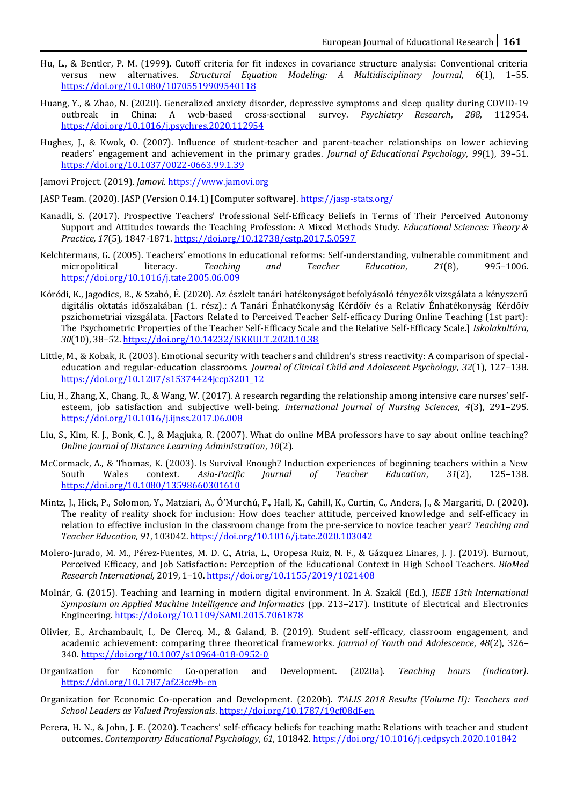- Hu, L., & Bentler, P. M. (1999). Cutoff criteria for fit indexes in covariance structure analysis: Conventional criteria versus new alternatives. *Structural Equation Modeling: A Multidisciplinary Journal*, *6*(1), 1–55. <https://doi.org/10.1080/10705519909540118>
- Huang, Y., & Zhao, N. (2020). Generalized anxiety disorder, depressive symptoms and sleep quality during COVID-19 outbreak in China: A web-based cross-sectional survey. *Psychiatry Research*, *288*, 112954. <https://doi.org/10.1016/j.psychres.2020.112954>
- Hughes, J., & Kwok, O. (2007). Influence of student-teacher and parent-teacher relationships on lower achieving readers' engagement and achievement in the primary grades. *Journal of Educational Psychology*, *99*(1), 39–51. <https://doi.org/10.1037/0022-0663.99.1.39>

Jamovi Project. (2019). *Jamovi*. [https://www.jamovi.org](https://www.jamovi.org/) 

- JASP Team. (2020). JASP (Version 0.14.1) [Computer software][. https://jasp-stats.org/](https://jasp-stats.org/)
- Kanadli, S. (2017). Prospective Teachers' Professional Self-Efficacy Beliefs in Terms of Their Perceived Autonomy Support and Attitudes towards the Teaching Profession: A Mixed Methods Study. *Educational Sciences: Theory & Practice, 17*(5), 1847-1871[. https://doi.org/10.12738/estp.2017.5.0597](https://doi.org/10.12738/estp.2017.5.0597)
- Kelchtermans, G. (2005). Teachers' emotions in educational reforms: Self-understanding, vulnerable commitment and micropolitical literacy. *Teaching and Teacher Education*, *21*(8), 995–1006. <https://doi.org/10.1016/j.tate.2005.06.009>
- Kóródi, K., Jagodics, B., & Szabó, É. (2020). Az észlelt tanári hatékonyságot befolyásoló tényezők vizsgálata a kényszerű digitális oktatás időszakában (1. rész).: A Tanári Énhatékonyság Kérdőív és a Relatív Énhatékonyság Kérdőív pszichometriai vizsgálata. [Factors Related to Perceived Teacher Self-efficacy During Online Teaching (1st part): The Psychometric Properties of the Teacher Self-Efficacy Scale and the Relative Self-Efficacy Scale.] *Iskolakultúra, 30*(10), 38–52.<https://doi.org/10.14232/ISKKULT.2020.10.38>
- Little, M., & Kobak, R. (2003). Emotional security with teachers and children's stress reactivity: A comparison of specialeducation and regular-education classrooms. *Journal of Clinical Child and Adolescent Psychology*, *32*(1), 127–138. [https://doi.org/10.1207/s15374424jccp3201\\_12](https://doi.org/10.1207/s15374424jccp3201_12)
- Liu, H., Zhang, X., Chang, R., & Wang, W. (2017). A research regarding the relationship among intensive care nurses' selfesteem, job satisfaction and subjective well-being. *International Journal of Nursing Sciences*, *4*(3), 291–295. <https://doi.org/10.1016/j.ijnss.2017.06.008>
- Liu, S., Kim, K. J., Bonk, C. J., & Magjuka, R. (2007). What do online MBA professors have to say about online teaching? *Online Journal of Distance Learning Administration*, *10*(2).
- McCormack, A., & Thomas, K. (2003). Is Survival Enough? Induction experiences of beginning teachers within a New South Wales context. *Asia-Pacific Journal of Teacher Education*, *31*(2), 125–138. <https://doi.org/10.1080/13598660301610>
- Mintz, J., Hick, P., Solomon, Y., Matziari, A., Ó'Murchú, F., Hall, K., Cahill, K., Curtin, C., Anders, J., & Margariti, D. (2020). The reality of reality shock for inclusion: How does teacher attitude, perceived knowledge and self-efficacy in relation to effective inclusion in the classroom change from the pre-service to novice teacher year? *Teaching and Teacher Education, 91*, 103042[. https://doi.org/10.1016/j.tate.2020.103042](https://doi.org/10.1016/j.tate.2020.103042)
- Molero-Jurado, M. M., Pérez-Fuentes, M. D. C., Atria, L., Oropesa Ruiz, N. F., & Gázquez Linares, J. J. (2019). Burnout, Perceived Efficacy, and Job Satisfaction: Perception of the Educational Context in High School Teachers. *BioMed Research International,* 2019, 1–10[. https://doi.org/10.1155/2019/1021408](https://doi.org/10.1155/2019/1021408)
- Molnár, G. (2015). Teaching and learning in modern digital environment. In A. Szakál (Ed.), *IEEE 13th International Symposium on Applied Machine Intelligence and Informatics* (pp. 213–217). Institute of Electrical and Electronics Engineering[. https://doi.org/10.1109/SAMI.2015.7061878](https://doi.org/10.1109/SAMI.2015.7061878)
- Olivier, E., Archambault, I., De Clercq, M., & Galand, B. (2019). Student self-efficacy, classroom engagement, and academic achievement: comparing three theoretical frameworks. *Journal of Youth and Adolescence*, *48*(2), 326– 340[. https://doi.org/10.1007/s10964-018-0952-0](https://doi.org/10.1007/s10964-018-0952-0)
- Organization for Economic Co-operation and Development. (2020a). *Teaching hours (indicator)*. <https://doi.org/10.1787/af23ce9b-en>
- Organization for Economic Co-operation and Development. (2020b). *TALIS 2018 Results (Volume II): Teachers and School Leaders as Valued Professionals*[. https://doi.org/10.1787/19cf08df-en](https://doi.org/10.1787/19cf08df-en)
- Perera, H. N., & John, J. E. (2020). Teachers' self-efficacy beliefs for teaching math: Relations with teacher and student outcomes. *Contemporary Educational Psychology*, *61*, 101842[. https://doi.org/10.1016/j.cedpsych.2020.101842](https://doi.org/10.1016/j.cedpsych.2020.101842)